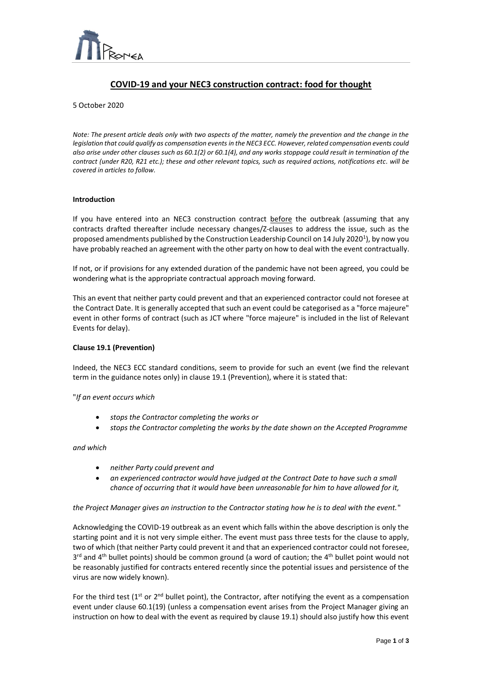

# **COVID-19 and your NEC3 construction contract: food for thought**

 $\overline{a}$ 

5 October 2020

*Note: The present article deals only with two aspects of the matter, namely the prevention and the change in the legislation that could qualify as compensation events in the NEC3 ECC. However, related compensation events could also arise under other clauses such as 60.1(2) or 60.1(4), and any works stoppage could result in termination of the contract (under R20, R21 etc.); these and other relevant topics, such as required actions, notifications etc. will be covered in articles to follow.*

#### **Introduction**

If you have entered into an NEC3 construction contract before the outbreak (assuming that any contracts drafted thereafter include necessary changes/Z-clauses to address the issue, such as the proposed amendments published by the Construction Leadership Council on 14 July 2020<sup>1</sup>), by now you have probably reached an agreement with the other party on how to deal with the event contractually.

If not, or if provisions for any extended duration of the pandemic have not been agreed, you could be wondering what is the appropriate contractual approach moving forward.

This an event that neither party could prevent and that an experienced contractor could not foresee at the Contract Date. It is generally accepted that such an event could be categorised as a "force majeure" event in other forms of contract (such as JCT where "force majeure" is included in the list of Relevant Events for delay).

## **Clause 19.1 (Prevention)**

Indeed, the NEC3 ECC standard conditions, seem to provide for such an event (we find the relevant term in the guidance notes only) in clause 19.1 (Prevention), where it is stated that:

"*If an event occurs which*

- *stops the Contractor completing the works or*
- *stops the Contractor completing the works by the date shown on the Accepted Programme*

*and which*

- *neither Party could prevent and*
- *an experienced contractor would have judged at the Contract Date to have such a small chance of occurring that it would have been unreasonable for him to have allowed for it,*

*the Project Manager gives an instruction to the Contractor stating how he is to deal with the event.*"

Acknowledging the COVID-19 outbreak as an event which falls within the above description is only the starting point and it is not very simple either. The event must pass three tests for the clause to apply, two of which (that neither Party could prevent it and that an experienced contractor could not foresee, 3<sup>rd</sup> and 4<sup>th</sup> bullet points) should be common ground (a word of caution; the 4<sup>th</sup> bullet point would not be reasonably justified for contracts entered recently since the potential issues and persistence of the virus are now widely known).

For the third test ( $1^{st}$  or  $2^{nd}$  bullet point), the Contractor, after notifying the event as a compensation event under clause 60.1(19) (unless a compensation event arises from the Project Manager giving an instruction on how to deal with the event as required by clause 19.1) should also justify how this event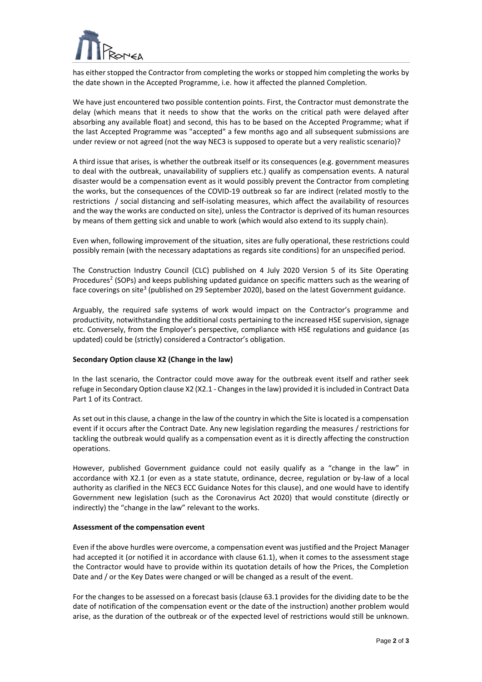

has either stopped the Contractor from completing the works or stopped him completing the works by the date shown in the Accepted Programme, i.e. how it affected the planned Completion.

 $\overline{a}$ 

We have just encountered two possible contention points. First, the Contractor must demonstrate the delay (which means that it needs to show that the works on the critical path were delayed after absorbing any available float) and second, this has to be based on the Accepted Programme; what if the last Accepted Programme was "accepted" a few months ago and all subsequent submissions are under review or not agreed (not the way NEC3 is supposed to operate but a very realistic scenario)?

A third issue that arises, is whether the outbreak itself or its consequences (e.g. government measures to deal with the outbreak, unavailability of suppliers etc.) qualify as compensation events. A natural disaster would be a compensation event as it would possibly prevent the Contractor from completing the works, but the consequences of the COVID-19 outbreak so far are indirect (related mostly to the restrictions / social distancing and self-isolating measures, which affect the availability of resources and the way the works are conducted on site), unless the Contractor is deprived of its human resources by means of them getting sick and unable to work (which would also extend to its supply chain).

Even when, following improvement of the situation, sites are fully operational, these restrictions could possibly remain (with the necessary adaptations as regards site conditions) for an unspecified period.

The Construction Industry Council (CLC) published on 4 July 2020 Version 5 of its Site Operating Procedures<sup>2</sup> (SOPs) and keeps publishing updated guidance on specific matters such as the wearing of face coverings on site<sup>3</sup> (published on 29 September 2020), based on the latest Government guidance.

Arguably, the required safe systems of work would impact on the Contractor's programme and productivity, notwithstanding the additional costs pertaining to the increased HSE supervision, signage etc. Conversely, from the Employer's perspective, compliance with HSE regulations and guidance (as updated) could be (strictly) considered a Contractor's obligation.

## **Secondary Option clause X2 (Change in the law)**

In the last scenario, the Contractor could move away for the outbreak event itself and rather seek refuge in Secondary Option clause X2 (X2.1 - Changes in the law) provided it is included in Contract Data Part 1 of its Contract.

As set out in this clause, a change in the law of the country in which the Site is located is a compensation event if it occurs after the Contract Date. Any new legislation regarding the measures / restrictions for tackling the outbreak would qualify as a compensation event as it is directly affecting the construction operations.

However, published Government guidance could not easily qualify as a "change in the law" in accordance with X2.1 (or even as a state statute, ordinance, decree, regulation or by-law of a local authority as clarified in the NEC3 ECC Guidance Notes for this clause), and one would have to identify Government new legislation (such as the Coronavirus Act 2020) that would constitute (directly or indirectly) the "change in the law" relevant to the works.

#### **Assessment of the compensation event**

Even if the above hurdles were overcome, a compensation event was justified and the Project Manager had accepted it (or notified it in accordance with clause 61.1), when it comes to the assessment stage the Contractor would have to provide within its quotation details of how the Prices, the Completion Date and / or the Key Dates were changed or will be changed as a result of the event.

For the changes to be assessed on a forecast basis (clause 63.1 provides for the dividing date to be the date of notification of the compensation event or the date of the instruction) another problem would arise, as the duration of the outbreak or of the expected level of restrictions would still be unknown.